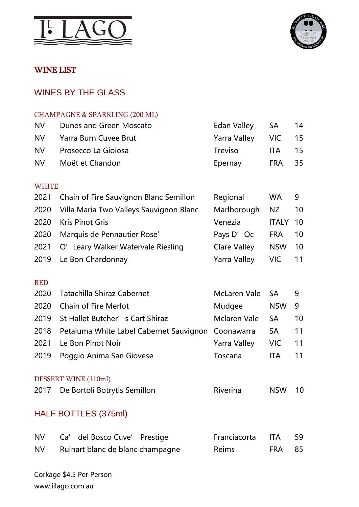



# WINE LIST

# WINES BY THE GLASS

#### CHAMPAGNE & SPARKLING (200 ML)

| <b>NV</b> | Dunes and Green Moscato | Edan Valley SA      |            | 14 |
|-----------|-------------------------|---------------------|------------|----|
| NV.       | Yarra Burn Cuvee Brut   | Yarra Valley VIC 15 |            |    |
| NV I      | Prosecco La Gioiosa     | <b>Treviso</b>      | <b>ITA</b> | 15 |
| <b>NV</b> | Moët et Chandon         | Epernay             | FRA 35     |    |

#### WHITE

|      | 2021 Chain of Fire Sauvignon Blanc Semillon | Regional            | <b>WA</b>  | 9   |
|------|---------------------------------------------|---------------------|------------|-----|
| 2020 | Villa Maria Two Valleys Sauvignon Blanc     | Marlborough         | NZ         | 10  |
| 2020 | <b>Kris Pinot Gris</b>                      | Venezia             | ITALY 10   |     |
| 2020 | Marquis de Pennautier Rose'                 | Pays D'Oc           | <b>FRA</b> | 10  |
|      | 2021 O' Leary Walker Watervale Riesling     | <b>Clare Valley</b> | <b>NSW</b> | -10 |
|      | 2019 Le Bon Chardonnay                      | <b>Yarra Valley</b> | VIC.       |     |

#### RED

|      | 2020 Tatachilla Shiraz Cabernet                         | McLaren Vale SA |            | - 9 |
|------|---------------------------------------------------------|-----------------|------------|-----|
| 2020 | <b>Chain of Fire Merlot</b>                             | Mudgee          | <b>NSW</b> | - 9 |
|      | 2019 St Hallet Butcher's Cart Shiraz                    | Mclaren Vale    | -SA        | 10  |
|      | 2018 Petaluma White Label Cabernet Sauvignon Coonawarra |                 | <b>SA</b>  | 11  |
| 2021 | Le Bon Pinot Noir                                       | Yarra Valley    | VIC.       | -11 |
|      | 2019 Poggio Anima San Giovese                           | Toscana         | <b>ITA</b> | 11  |

#### DESSERT WINE (110ml)

| 2017 De Bortoli Botrytis Semillon | Riverina | <b>NSW 10</b> |  |
|-----------------------------------|----------|---------------|--|
|                                   |          |               |  |

# HALF BOTTLES (375ml)

| <b>NV</b> | Ca' del Bosco Cuve' Prestige     | Franciacorta ITA 59 |        |  |
|-----------|----------------------------------|---------------------|--------|--|
| <b>NV</b> | Ruinart blanc de blanc champagne | Reims               | FRA 85 |  |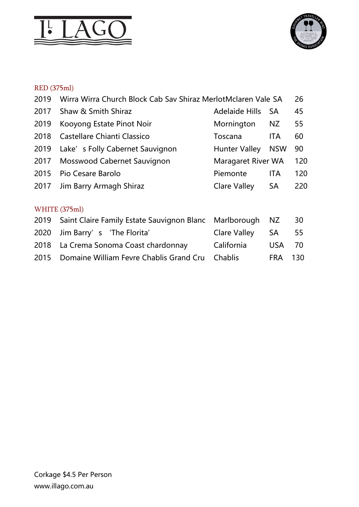



# RED (375ml)

| 2019 | Wirra Wirra Church Block Cab Sav Shiraz MerlotMclaren Vale SA |                           |            | 26  |
|------|---------------------------------------------------------------|---------------------------|------------|-----|
| 2017 | Shaw & Smith Shiraz                                           | <b>Adelaide Hills</b>     | <b>SA</b>  | 45  |
| 2019 | Kooyong Estate Pinot Noir                                     | Mornington                | NZ         | 55  |
| 2018 | Castellare Chianti Classico                                   | Toscana                   | ITA        | 60  |
| 2019 | Lake's Folly Cabernet Sauvignon                               | <b>Hunter Valley</b>      | <b>NSW</b> | 90  |
| 2017 | Mosswood Cabernet Sauvignon                                   | <b>Maragaret River WA</b> |            | 120 |
| 2015 | Pio Cesare Barolo                                             | Piemonte                  | ITA        | 120 |
| 2017 | Jim Barry Armagh Shiraz                                       | <b>Clare Valley</b>       | SA         | 220 |
|      |                                                               |                           |            |     |
|      | WHITE (375ml)                                                 |                           |            |     |
| 2019 | Saint Claire Family Estate Sauvignon Blanc                    | Marlborough               | NZ         | 30  |
| 2020 | Jim Barry's 'The Florita'                                     | <b>Clare Valley</b>       | <b>SA</b>  | 55  |
| 2018 | La Crema Sonoma Coast chardonnay                              | California                | <b>USA</b> | 70  |
| 2015 | Domaine William Fevre Chablis Grand Cru                       | Chablis                   | <b>FRA</b> | 130 |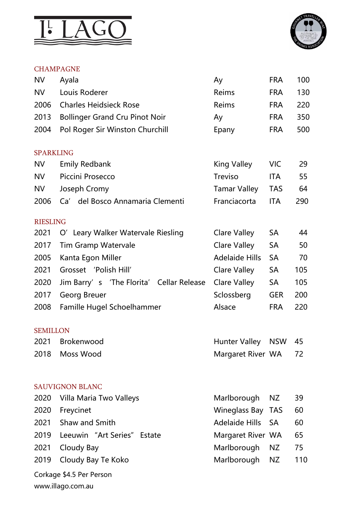



# CHAMPAGNE

| <b>NV</b>        | Ayala                                    | Ay                    | <b>FRA</b> | 100 |
|------------------|------------------------------------------|-----------------------|------------|-----|
| <b>NV</b>        | Louis Roderer                            | Reims                 | <b>FRA</b> | 130 |
| 2006             | <b>Charles Heidsieck Rose</b>            | Reims                 | <b>FRA</b> | 220 |
| 2013             | <b>Bollinger Grand Cru Pinot Noir</b>    | Ay                    | <b>FRA</b> | 350 |
| 2004             | Pol Roger Sir Winston Churchill          | Epany                 | <b>FRA</b> | 500 |
| <b>SPARKLING</b> |                                          |                       |            |     |
| <b>NV</b>        | <b>Emily Redbank</b>                     | King Valley           | <b>VIC</b> | 29  |
| <b>NV</b>        | Piccini Prosecco                         | <b>Treviso</b>        | ITA        | 55  |
| <b>NV</b>        | Joseph Cromy                             | <b>Tamar Valley</b>   | <b>TAS</b> | 64  |
| 2006             | Ca' del Bosco Annamaria Clementi         | Franciacorta          | <b>ITA</b> | 290 |
| <b>RIESLING</b>  |                                          |                       |            |     |
| 2021             | O' Leary Walker Watervale Riesling       | <b>Clare Valley</b>   | <b>SA</b>  | 44  |
| 2017             | <b>Tim Gramp Watervale</b>               | <b>Clare Valley</b>   | <b>SA</b>  | 50  |
| 2005             | Kanta Egon Miller                        | <b>Adelaide Hills</b> | <b>SA</b>  | 70  |
| 2021             | Grosset 'Polish Hill'                    | <b>Clare Valley</b>   | <b>SA</b>  | 105 |
| 2020             | Jim Barry's 'The Florita' Cellar Release | <b>Clare Valley</b>   | <b>SA</b>  | 105 |
| 2017             | Georg Breuer                             | Sclossberg            | <b>GER</b> | 200 |
| 2008             | Famille Hugel Schoelhammer               | Alsace                | <b>FRA</b> | 220 |
| <b>SEMILLON</b>  |                                          |                       |            |     |
|                  | 2021 Brokenwood                          | Hunter Valley NSW     |            | 45  |
| 2018             | Moss Wood                                | Margaret River WA     |            | 72  |
|                  | <b>SAUVIGNON BLANC</b>                   |                       |            |     |
| 2020             | Villa Maria Two Valleys                  | Marlborough           | NZ.        | 39  |
| 2020             | Freycinet                                | <b>Wineglass Bay</b>  | <b>TAS</b> | 60  |
| 2021             | Shaw and Smith                           | <b>Adelaide Hills</b> | <b>SA</b>  | 60  |
| 2019             | Leeuwin "Art Series" Estate              | Margaret River WA     |            | 65  |
| 2021             | Cloudy Bay                               | Marlborough           | NZ         | 75  |
| 2019             | Cloudy Bay Te Koko                       | Marlborough           | NZ         | 110 |
|                  | Corkage \$4.5 Per Person                 |                       |            |     |
|                  | www.illago.com.au                        |                       |            |     |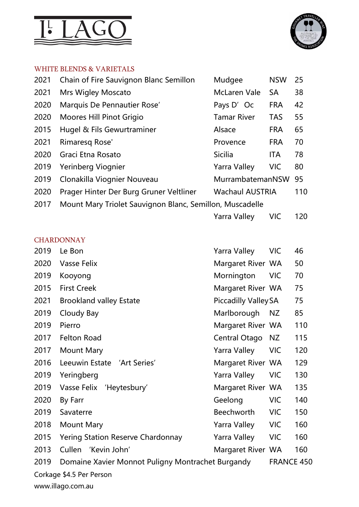



#### WHITE BLENDS & VARIETALS

| 2021 | Chain of Fire Sauvignon Blanc Semillon                   | Mudgee                 | <b>NSW</b> | 25  |
|------|----------------------------------------------------------|------------------------|------------|-----|
| 2021 | <b>Mrs Wigley Moscato</b>                                | <b>McLaren Vale</b>    | <b>SA</b>  | 38  |
| 2020 | Marquis De Pennautier Rose'                              | Pays D'Oc              | <b>FRA</b> | 42  |
| 2020 | Moores Hill Pinot Grigio                                 | <b>Tamar River</b>     | <b>TAS</b> | 55  |
| 2015 | Hugel & Fils Gewurtraminer                               | Alsace                 | <b>FRA</b> | 65  |
| 2021 | Rimaresq Rose'                                           | Provence               | <b>FRA</b> | 70  |
| 2020 | Graci Etna Rosato                                        | <b>Sicilia</b>         | <b>ITA</b> | 78  |
| 2019 | Yerinberg Viognier                                       | Yarra Valley           | <b>VIC</b> | 80  |
| 2019 | Clonakilla Viognier Nouveau                              | MurrambatemanNSW       |            | 95  |
| 2020 | Prager Hinter Der Burg Gruner Veltliner                  | <b>Wachaul AUSTRIA</b> |            | 110 |
| 2017 | Mount Mary Triolet Sauvignon Blanc, Semillon, Muscadelle |                        |            |     |
|      |                                                          | Yarra Valley           | <b>VIC</b> | 120 |

# **CHARDONNAY**

| 2019 | Le Bon                                            | <b>Yarra Valley</b>         | <b>VIC</b>        | 46  |
|------|---------------------------------------------------|-----------------------------|-------------------|-----|
| 2020 | Vasse Felix                                       | Margaret River WA           |                   | 50  |
| 2019 | Kooyong                                           | Mornington                  | <b>VIC</b>        | 70  |
| 2015 | <b>First Creek</b>                                | Margaret River WA           |                   | 75  |
| 2021 | <b>Brookland valley Estate</b>                    | <b>Piccadilly Valley SA</b> |                   | 75  |
| 2019 | Cloudy Bay                                        | Marlborough                 | NZ                | 85  |
| 2019 | Pierro                                            | Margaret River WA           |                   | 110 |
| 2017 | <b>Felton Road</b>                                | Central Otago               | NZ                | 115 |
| 2017 | <b>Mount Mary</b>                                 | Yarra Valley                | <b>VIC</b>        | 120 |
| 2016 | Leeuwin Estate 'Art Series'                       | Margaret River WA           |                   | 129 |
| 2019 | Yeringberg                                        | <b>Yarra Valley</b>         | <b>VIC</b>        | 130 |
| 2019 | Vasse Felix 'Heytesbury'                          | Margaret River WA           |                   | 135 |
| 2020 | By Farr                                           | Geelong                     | <b>VIC</b>        | 140 |
| 2019 | Savaterre                                         | Beechworth                  | <b>VIC</b>        | 150 |
| 2018 | <b>Mount Mary</b>                                 | Yarra Valley                | <b>VIC</b>        | 160 |
| 2015 | <b>Yering Station Reserve Chardonnay</b>          | Yarra Valley                | <b>VIC</b>        | 160 |
| 2013 | Cullen 'Kevin John'                               | Margaret River WA           |                   | 160 |
| 2019 | Domaine Xavier Monnot Puligny Montrachet Burgandy |                             | <b>FRANCE 450</b> |     |
|      | Corkage \$4.5 Per Person                          |                             |                   |     |
|      | www.illago.com.au                                 |                             |                   |     |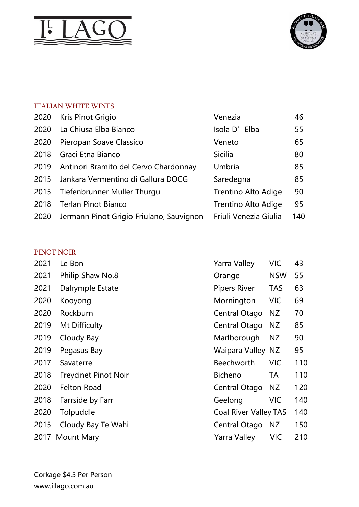



## ITALIAN WHITE WINES

| 2020 | Kris Pinot Grigio                        | Venezia                    | 46  |
|------|------------------------------------------|----------------------------|-----|
| 2020 | La Chiusa Elba Bianco                    | Isola D'<br>Elba           | 55  |
| 2020 | Pieropan Soave Classico                  | Veneto                     | 65  |
| 2018 | Graci Etna Bianco                        | <b>Sicilia</b>             | 80  |
| 2019 | Antinori Bramito del Cervo Chardonnay    | Umbria                     | 85  |
| 2015 | Jankara Vermentino di Gallura DOCG       | Saredegna                  | 85  |
| 2015 | Tiefenbrunner Muller Thurgu              | <b>Trentino Alto Adige</b> | 90  |
| 2018 | <b>Terlan Pinot Bianco</b>               | <b>Trentino Alto Adige</b> | 95  |
| 2020 | Jermann Pinot Grigio Friulano, Sauvignon | Friuli Venezia Giulia      | 140 |

# PINOT NOIR

| 2021 | Le Bon                      | <b>Yarra Valley</b>          | <b>VIC</b> | 43  |
|------|-----------------------------|------------------------------|------------|-----|
| 2021 | Philip Shaw No.8            | Orange                       | <b>NSW</b> | 55  |
| 2021 | Dalrymple Estate            | <b>Pipers River</b>          | <b>TAS</b> | 63  |
| 2020 | Kooyong                     | Mornington                   | <b>VIC</b> | 69  |
| 2020 | Rockburn                    | Central Otago                | NZ         | 70  |
| 2019 | Mt Difficulty               | Central Otago                | NZ         | 85  |
| 2019 | Cloudy Bay                  | Marlborough                  | NZ         | 90  |
| 2019 | Pegasus Bay                 | Waipara Valley NZ            |            | 95  |
| 2017 | Savaterre                   | <b>Beechworth</b>            | <b>VIC</b> | 110 |
| 2018 | <b>Freycinet Pinot Noir</b> | <b>Bicheno</b>               | TA         | 110 |
| 2020 | <b>Felton Road</b>          | Central Otago                | NZ         | 120 |
| 2018 | Farrside by Farr            | Geelong                      | <b>VIC</b> | 140 |
| 2020 | Tolpuddle                   | <b>Coal River Valley TAS</b> |            | 140 |
| 2015 | Cloudy Bay Te Wahi          | Central Otago                | NZ.        | 150 |
|      | 2017 Mount Mary             | Yarra Valley                 | <b>VIC</b> | 210 |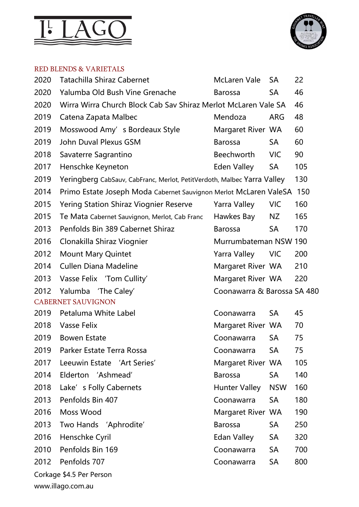



#### RED BLENDS & VARIETALS

| 2020                     | <b>Tatachilla Shiraz Cabernet</b>                                       | <b>McLaren Vale</b>         | <b>SA</b>  | 22  |
|--------------------------|-------------------------------------------------------------------------|-----------------------------|------------|-----|
| 2020                     | Yalumba Old Bush Vine Grenache                                          | <b>Barossa</b>              | <b>SA</b>  | 46  |
| 2020                     | Wirra Wirra Church Block Cab Sav Shiraz Merlot McLaren Vale SA          |                             |            | 46  |
| 2019                     | Catena Zapata Malbec                                                    | Mendoza                     | <b>ARG</b> | 48  |
| 2019                     | Mosswood Amy's Bordeaux Style                                           | Margaret River WA           |            | 60  |
| 2019                     | John Duval Plexus GSM                                                   | <b>Barossa</b>              | <b>SA</b>  | 60  |
| 2018                     | Savaterre Sagrantino                                                    | <b>Beechworth</b>           | <b>VIC</b> | 90  |
| 2017                     | Henschke Keyneton                                                       | Eden Valley                 | <b>SA</b>  | 105 |
| 2019                     | Yeringberg CabSauv, CabFranc, Merlot, PetitVerdoth, Malbec Yarra Valley |                             |            | 130 |
| 2014                     | Primo Estate Joseph Moda Cabernet Sauvignon Merlot McLaren ValeSA       |                             |            | 150 |
| 2015                     | <b>Yering Station Shiraz Viognier Reserve</b>                           | Yarra Valley                | <b>VIC</b> | 160 |
| 2015                     | Te Mata Cabernet Sauvignon, Merlot, Cab Franc                           | Hawkes Bay                  | NZ         | 165 |
| 2013                     | Penfolds Bin 389 Cabernet Shiraz                                        | <b>Barossa</b>              | <b>SA</b>  | 170 |
| 2016                     | Clonakilla Shiraz Viognier                                              | Murrumbateman NSW 190       |            |     |
| 2012                     | <b>Mount Mary Quintet</b>                                               | Yarra Valley                | <b>VIC</b> | 200 |
| 2014                     | <b>Cullen Diana Madeline</b>                                            | Margaret River WA           |            | 210 |
| 2013                     | Vasse Felix 'Tom Cullity'                                               | Margaret River WA           |            | 220 |
| 2012                     | Yalumba 'The Caley'                                                     | Coonawarra & Barossa SA 480 |            |     |
|                          | <b>CABERNET SAUVIGNON</b>                                               |                             |            |     |
| 2019                     | Petaluma White Label                                                    | Coonawarra                  | <b>SA</b>  | 45  |
| 2018                     | Vasse Felix                                                             | Margaret River WA           |            | 70  |
| 2019                     | <b>Bowen Estate</b>                                                     | Coonawarra                  | <b>SA</b>  | 75  |
| 2019                     | Parker Estate Terra Rossa                                               | Coonawarra                  | <b>SA</b>  | 75  |
| 2017                     | Leeuwin Estate 'Art Series'                                             | Margaret River WA           |            | 105 |
| 2014                     | Elderton 'Ashmead'                                                      | <b>Barossa</b>              | SA         | 140 |
| 2018                     | Lake's Folly Cabernets                                                  | <b>Hunter Valley</b>        | <b>NSW</b> | 160 |
| 2013                     | Penfolds Bin 407                                                        | Coonawarra                  | <b>SA</b>  | 180 |
| 2016                     | Moss Wood                                                               | Margaret River WA           |            | 190 |
| 2013                     | Two Hands 'Aphrodite'                                                   | <b>Barossa</b>              | SA         | 250 |
| 2016                     | Henschke Cyril                                                          | Edan Valley                 | SA         | 320 |
| 2010                     | Penfolds Bin 169                                                        | Coonawarra                  | <b>SA</b>  | 700 |
| 2012                     | Penfolds 707                                                            | Coonawarra                  | <b>SA</b>  | 800 |
| Corkage \$4.5 Per Person |                                                                         |                             |            |     |

www.illago.com.au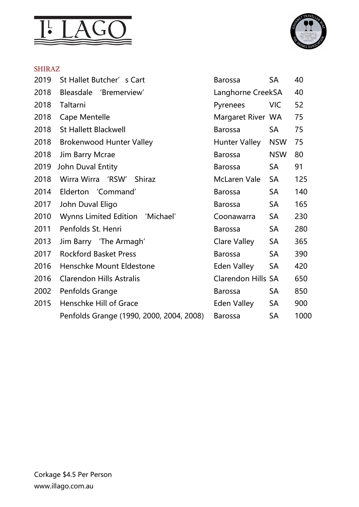



#### SHIRAZ

| 2019 | St Hallet Butcher's Cart                 | <b>Barossa</b>            | <b>SA</b>  | 40   |
|------|------------------------------------------|---------------------------|------------|------|
| 2018 | <b>Bleasdale</b><br>'Bremerview'         | Langhorne CreekSA         |            | 40   |
| 2018 | Taltarni                                 | Pyrenees                  | <b>VIC</b> | 52   |
| 2018 | Cape Mentelle                            | Margaret River WA         |            | 75   |
| 2018 | <b>St Hallett Blackwell</b>              | <b>Barossa</b>            | SA         | 75   |
| 2018 | <b>Brokenwood Hunter Valley</b>          | <b>Hunter Valley</b>      | <b>NSW</b> | 75   |
| 2018 | Jim Barry Mcrae                          | <b>Barossa</b>            | <b>NSW</b> | 80   |
| 2019 | John Duval Entity                        | <b>Barossa</b>            | <b>SA</b>  | 91   |
| 2018 | Wirra Wirra 'RSW'<br><b>Shiraz</b>       | McLaren Vale              | <b>SA</b>  | 125  |
| 2014 | Elderton 'Command'                       | <b>Barossa</b>            | <b>SA</b>  | 140  |
| 2017 | John Duval Eligo                         | <b>Barossa</b>            | <b>SA</b>  | 165  |
| 2010 | Wynns Limited Edition 'Michael'          | Coonawarra                | <b>SA</b>  | 230  |
| 2011 | Penfolds St. Henri                       | <b>Barossa</b>            | <b>SA</b>  | 280  |
| 2013 | Jim Barry 'The Armagh'                   | Clare Valley              | <b>SA</b>  | 365  |
| 2017 | <b>Rockford Basket Press</b>             | <b>Barossa</b>            | <b>SA</b>  | 390  |
| 2016 | Henschke Mount Eldestone                 | <b>Eden Valley</b>        | <b>SA</b>  | 420  |
| 2016 | <b>Clarendon Hills Astralis</b>          | <b>Clarendon Hills SA</b> |            | 650  |
| 2002 | Penfolds Grange                          | <b>Barossa</b>            | <b>SA</b>  | 850  |
| 2015 | Henschke Hill of Grace                   | Eden Valley               | <b>SA</b>  | 900  |
|      | Penfolds Grange (1990, 2000, 2004, 2008) | <b>Barossa</b>            | <b>SA</b>  | 1000 |
|      |                                          |                           |            |      |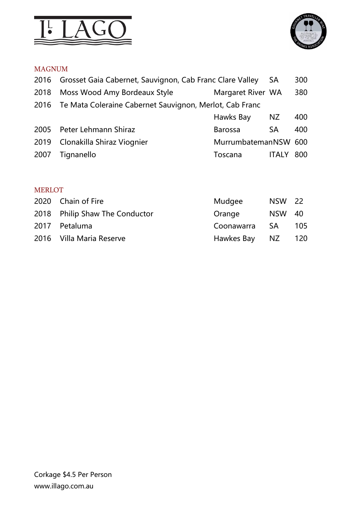



# MAGNUM

|      | 2016 Grosset Gaia Cabernet, Sauvignon, Cab Franc Clare Valley |                      | <b>SA</b>    | 300 |
|------|---------------------------------------------------------------|----------------------|--------------|-----|
| 2018 | Moss Wood Amy Bordeaux Style                                  | Margaret River WA    |              | 380 |
|      | 2016 Te Mata Coleraine Cabernet Sauvignon, Merlot, Cab Franc  |                      |              |     |
|      |                                                               | Hawks Bay            | NZ           | 400 |
| 2005 | Peter Lehmann Shiraz                                          | <b>Barossa</b>       | <b>SA</b>    | 400 |
| 2019 | Clonakilla Shiraz Viognier                                    | MurrumbatemanNSW 600 |              |     |
| 2007 | Tignanello                                                    | Toscana              | <b>ITALY</b> | 800 |
|      |                                                               |                      |              |     |

# MERLOT

| 2020 Chain of Fire             | Mudgee     | <b>NSW 22</b> |     |
|--------------------------------|------------|---------------|-----|
| 2018 Philip Shaw The Conductor | Orange     | <b>NSW 40</b> |     |
| 2017 Petaluma                  | Coonawarra | -SA           | 105 |
| 2016 Villa Maria Reserve       | Hawkes Bay | NZ            | 120 |